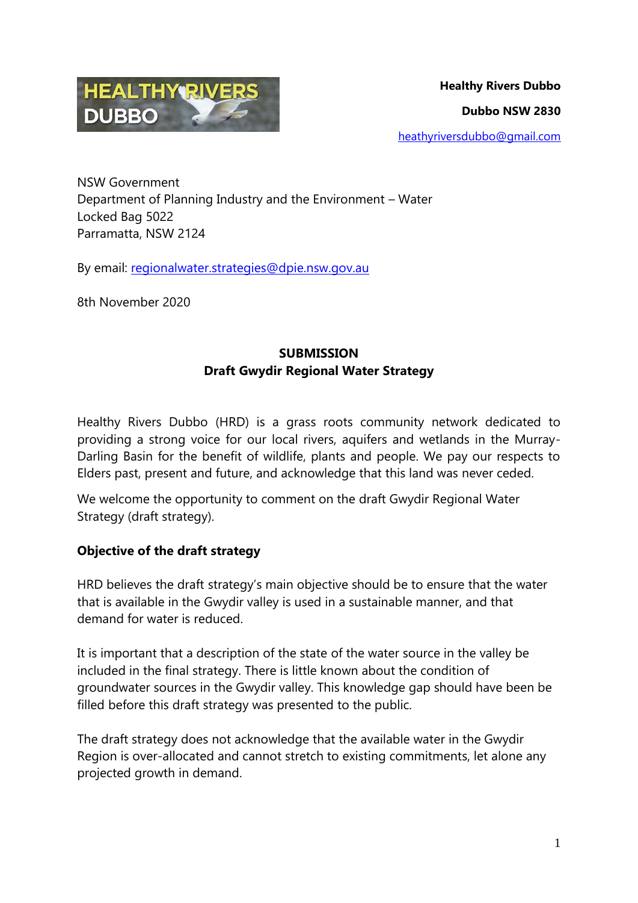

NSW Government Department of Planning Industry and the Environment – Water Locked Bag 5022 Parramatta, NSW 2124

By email: [regionalwater.strategies@dpie.nsw.gov.au](mailto:regionalwater.strategies@dpie.nsw.gov.au)

8th November 2020

# **SUBMISSION Draft Gwydir Regional Water Strategy**

Healthy Rivers Dubbo (HRD) is a grass roots community network dedicated to providing a strong voice for our local rivers, aquifers and wetlands in the Murray-Darling Basin for the benefit of wildlife, plants and people. We pay our respects to Elders past, present and future, and acknowledge that this land was never ceded.

We welcome the opportunity to comment on the draft Gwydir Regional Water Strategy (draft strategy).

## **Objective of the draft strategy**

HRD believes the draft strategy's main objective should be to ensure that the water that is available in the Gwydir valley is used in a sustainable manner, and that demand for water is reduced.

It is important that a description of the state of the water source in the valley be included in the final strategy. There is little known about the condition of groundwater sources in the Gwydir valley. This knowledge gap should have been be filled before this draft strategy was presented to the public.

The draft strategy does not acknowledge that the available water in the Gwydir Region is over-allocated and cannot stretch to existing commitments, let alone any projected growth in demand.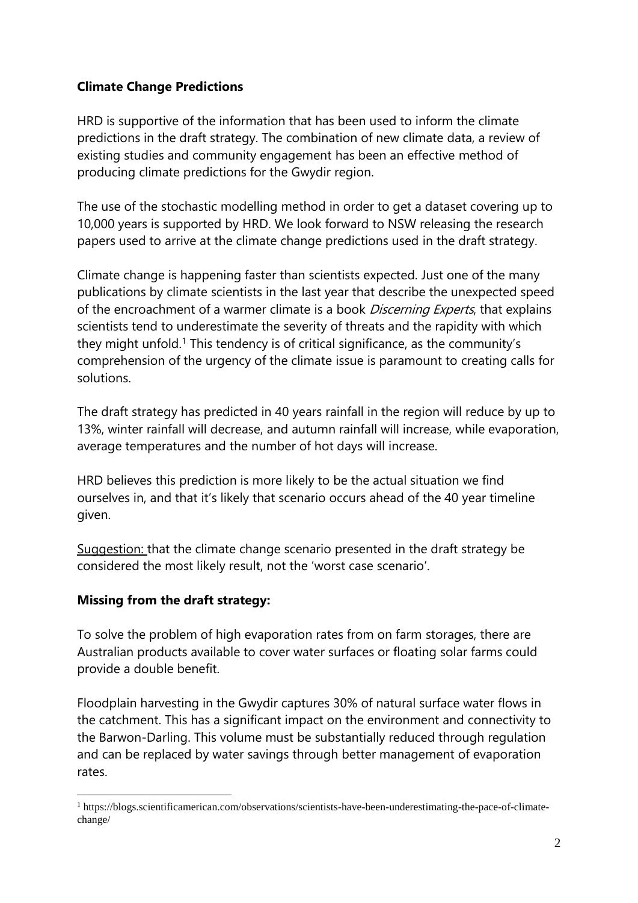### **Climate Change Predictions**

HRD is supportive of the information that has been used to inform the climate predictions in the draft strategy. The combination of new climate data, a review of existing studies and community engagement has been an effective method of producing climate predictions for the Gwydir region.

The use of the stochastic modelling method in order to get a dataset covering up to 10,000 years is supported by HRD. We look forward to NSW releasing the research papers used to arrive at the climate change predictions used in the draft strategy.

Climate change is happening faster than scientists expected. Just one of the many publications by climate scientists in the last year that describe the unexpected speed of the encroachment of a warmer climate is a book *Discerning Experts*, that explains scientists tend to underestimate the severity of threats and the rapidity with which they might unfold.<sup>1</sup> This tendency is of critical significance, as the community's comprehension of the urgency of the climate issue is paramount to creating calls for solutions.

The draft strategy has predicted in 40 years rainfall in the region will reduce by up to 13%, winter rainfall will decrease, and autumn rainfall will increase, while evaporation, average temperatures and the number of hot days will increase.

HRD believes this prediction is more likely to be the actual situation we find ourselves in, and that it's likely that scenario occurs ahead of the 40 year timeline given.

Suggestion: that the climate change scenario presented in the draft strategy be considered the most likely result, not the 'worst case scenario'.

## **Missing from the draft strategy:**

To solve the problem of high evaporation rates from on farm storages, there are Australian products available to cover water surfaces or floating solar farms could provide a double benefit.

Floodplain harvesting in the Gwydir captures 30% of natural surface water flows in the catchment. This has a significant impact on the environment and connectivity to the Barwon-Darling. This volume must be substantially reduced through regulation and can be replaced by water savings through better management of evaporation rates.

<sup>1</sup> <sup>1</sup> https://blogs.scientificamerican.com/observations/scientists-have-been-underestimating-the-pace-of-climatechange/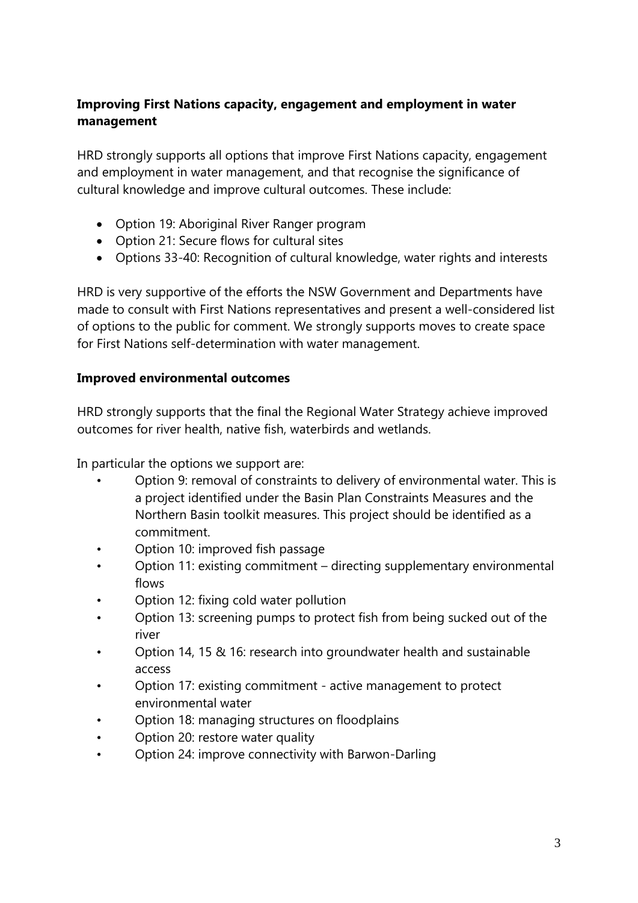# **Improving First Nations capacity, engagement and employment in water management**

HRD strongly supports all options that improve First Nations capacity, engagement and employment in water management, and that recognise the significance of cultural knowledge and improve cultural outcomes. These include:

- Option 19: Aboriginal River Ranger program
- Option 21: Secure flows for cultural sites
- Options 33-40: Recognition of cultural knowledge, water rights and interests

HRD is very supportive of the efforts the NSW Government and Departments have made to consult with First Nations representatives and present a well-considered list of options to the public for comment. We strongly supports moves to create space for First Nations self-determination with water management.

#### **Improved environmental outcomes**

HRD strongly supports that the final the Regional Water Strategy achieve improved outcomes for river health, native fish, waterbirds and wetlands.

In particular the options we support are:

- Option 9: removal of constraints to delivery of environmental water. This is a project identified under the Basin Plan Constraints Measures and the Northern Basin toolkit measures. This project should be identified as a commitment.
- Option 10: improved fish passage
- Option 11: existing commitment directing supplementary environmental flows
- Option 12: fixing cold water pollution
- Option 13: screening pumps to protect fish from being sucked out of the river
- Option 14, 15 & 16: research into groundwater health and sustainable access
- Option 17: existing commitment active management to protect environmental water
- Option 18: managing structures on floodplains
- Option 20: restore water quality
- Option 24: improve connectivity with Barwon-Darling